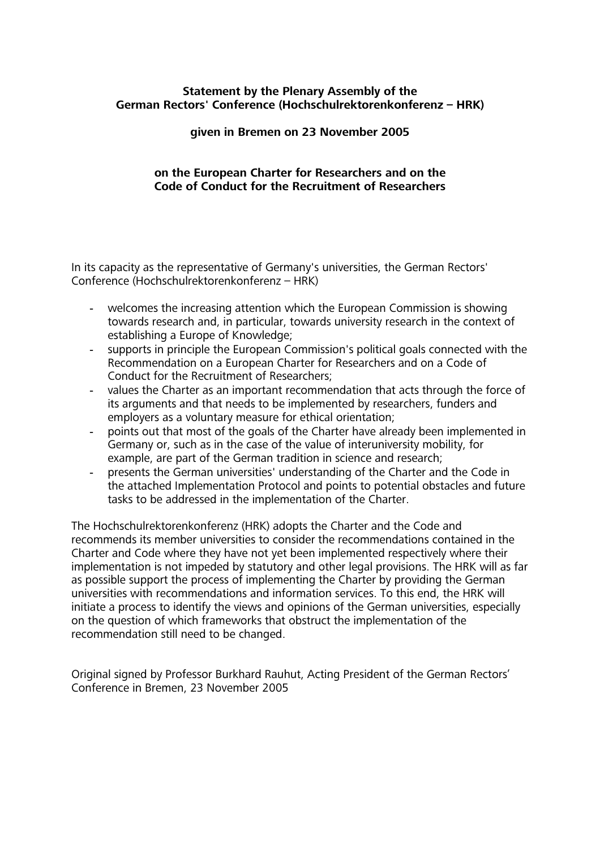### Statement by the Plenary Assembly of the German Rectors' Conference (Hochschulrektorenkonferenz - HRK)

### given in Bremen on 23 November 2005

### on the European Charter for Researchers and on the Code of Conduct for the Recruitment of Researchers

In its capacity as the representative of Germany's universities, the German Rectors' Conference (Hochschulrektoren konferen z – HRK)

- welcomes the increasing attention which the European Commission is showing towards research and, in particular, towards university research in the context of establishing a Europe of Knowledge;
- supports in principle the European Commission's political goals connected with the Recommendation on a European Charter for Researchers and on a Code of Conduct for the Recruitment of Researchers:
- values the Charter as an important recommendation that acts through the force of its arguments and that needs to be implemented by researchers, funders and employers as a voluntary measure for ethical orientation;
- points out that most of the goals of the Charter have already been implemented in Germany or, such as in the case of the value of interuniversity mobility, for example, are part of the German tradition in science and research;
- presents the German universities' understanding of the Charter and the Code in the attached Implementation Protocol and points to potential obstacles and future tasks to be addressed in the implementation of the Charter.

The Hochschulrektoren konferenz (HRK) adopts the Charter and the Code and recommends its member universities to consider the recommendations contained in the Charter and Code where they have not yet been implemented respectively where their imp lementation is not impeded by statutory and other legal provisions. The HRK will as far as possible support the process of implementing the Charter by providing the German universities with recommendations and information services. To this end, the HRK will initiate a process to identify the views and opinions of the German universities, especially on the question of which frameworks that obstruct the implementation of the recommendation still need to be changed.

Original signed by Professor Burkhard Rauhut, Acting President of the German Rectors' Conference in Bremen, 23 November 2005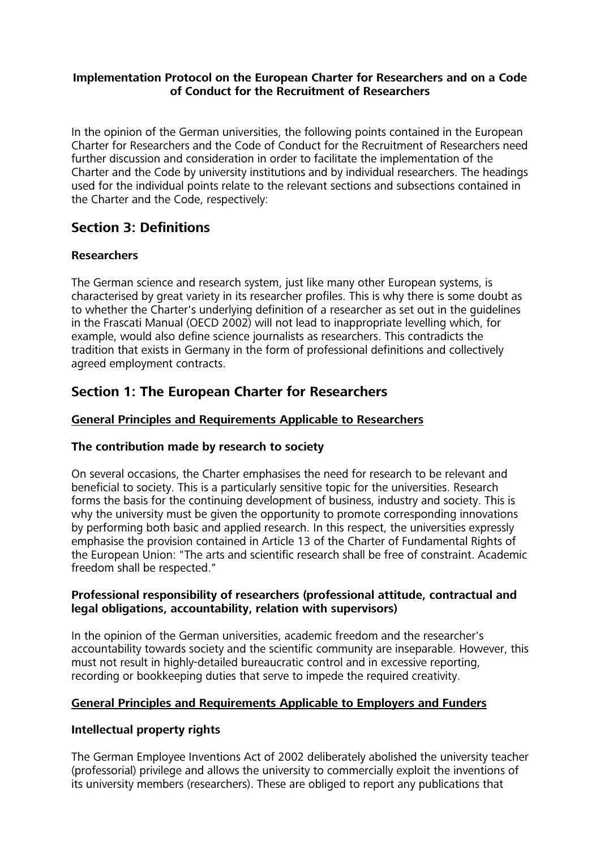### Implementation Protocol on the European Charter for Researchers and on a Code of Conduct for the Recruitment of Researchers

In the opinion of the German universities, the following points contained in the European Charter for Researchers and the Code of Conduct for the Recruitment of Researchers need further discussion and consideration in order to facilitate the implementation of the Charter and the Code by university institutions and by individual researchers. The headings used for the individual points relate to the relevant sections and subsections contained in the Charter and the Code, respectively:

# **Section 3: Definitions**

# **Researchers**

The German science and research system, just like many other European systems, is characterised by great variety in its researcher profiles. This is why there is some doubt as to whether the Charter's underlying definition of a researcher as set out in the quidelines in the Frascati Manual (OECD 2002) will not lead to inappropriate levelling which, for example, would also define science journalists as researchers. This contradicts the tradition that exists in Germany in the form of professional definitions and collectively agreed employment contracts.

# **Section 1: The European Charter for Researchers**

# **General Principles and Requirements Applicable to Researchers**

# The contribution made by research to society

On several occasions, the Charter emphasises the need for research to be relevant and beneficial to society. This is a particularly sensitive topic for the universities. Research forms the basis for the continuing development of business, industry and society. This is why the university must be given the opportunity to promote corresponding innovations by performing both basic and applied research. In this respect, the universities expressly emphasise the provision contained in Article 13 of the Charter of Fundamental Rights of the European Union: "The arts and scientific research shall be free of constraint. Academic freedom shall be respected."

# Professional responsibility of researchers (professional attitude, contractual and legal obligations, accountability, relation with supervisors)

In the opinion of the German universities, academic freedom and the researcher's accountability towards society and the scientific community are inseparable. However, this must not result in highly-detailed bureaucratic control and in excessive reporting, recording or bookkeeping duties that serve to impede the required creativity.

# **General Principles and Requirements Applicable to Employers and Funders**

# Intellectual property rights

The German Employee Inventions Act of 2002 deliberately abolished the university teacher (professorial) privilege and allows the university to commercially exploit the inventions of its university members (researchers). These are obliged to report any publications that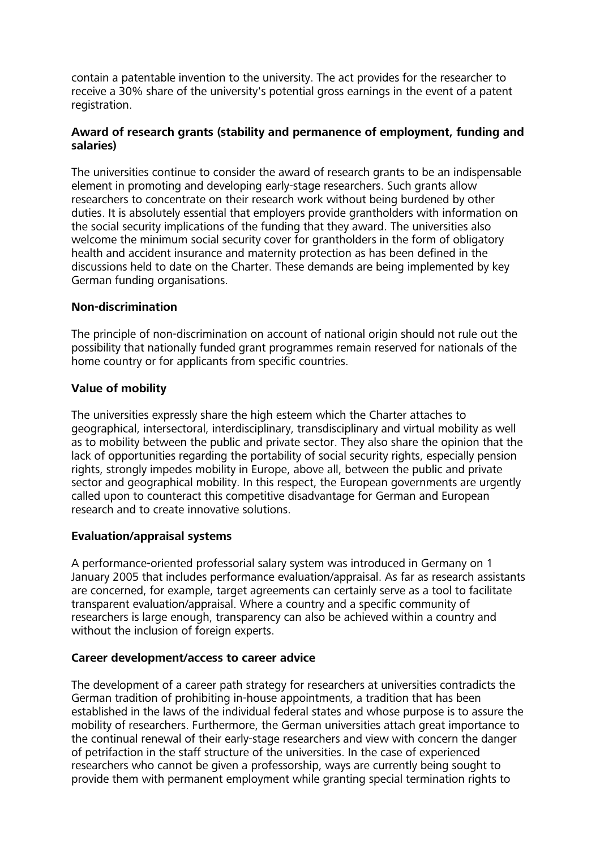contain a patentable invention to the university. The act provides for the researcher to receive a 30% share of the university's potential gross earnings in the event of a patent registration.

# Award of research grants (stability and permanence of employment, funding and salaries)

The universities continue to consider the award of research grants to be an indispensable element in promoting and developing early-stage researchers. Such grants allow researchers to concentrate on their research work without being burdened by other duties. It is absolutely essential that employers provide grantholders with information on the social security implications of the funding that they award. The universities also welcome the minimum social security cover for grantholders in the form of obligatory health and accident insurance and maternity protection as has been defined in the discussions held to date on the Charter. These demands are being implemented by key German funding organisations.

# Non-discrimination

The principle of non-discrimination on account of national origin should not rule out the possibility that nationally funded grant programmes remain reserved for nationals of the home country or for applicants from specific countries.

# Value of mobility

The universities expressly share the high esteem which the Charter attaches to geographical, intersectoral, interdisciplinary, transdisciplinary and virtual mobility as well as to mobility between the public and private sector. They also share the opinion that the lack of opportunities regarding the portability of social security rights, especially pension rights, strongly impedes mobility in Europe, above all, between the public and private sector and geographical mobility. In this respect, the European governments are urgently called upon to counteract this competitive disadvantage for German and European research and to create innovative solutions.

#### Evaluation/appraisal systems

A performance-oriented professorial salary system was introduced in Germany on 1 January 2005 that includes performance evaluation/appraisal. As far as research assistants are concerned, for example, target agreements can certainly serve as a tool to facilitate tran sparent evaluation/appraisal. Where a country and a specific community of researchers is large enough, transparency can also be achieved within a country and without the inclusion of foreign experts.

#### Career development/access to career advice

The development of a career path strategy for researchers at universities contradicts the German tradition of prohibiting in-house appointments, a tradition that has been established in the laws of the individual federal states and whose purpose is to assure the mobility of researchers. Furthermore, the German universities attach great importance to the continual renewal of their early-stage researchers and view with concern the danger of petrifaction in the staff structure of the universities. In the case of experienced researchers who cannot be given a professorship, ways are currently being sought to provide them with permanent employment while granting special termination rights to